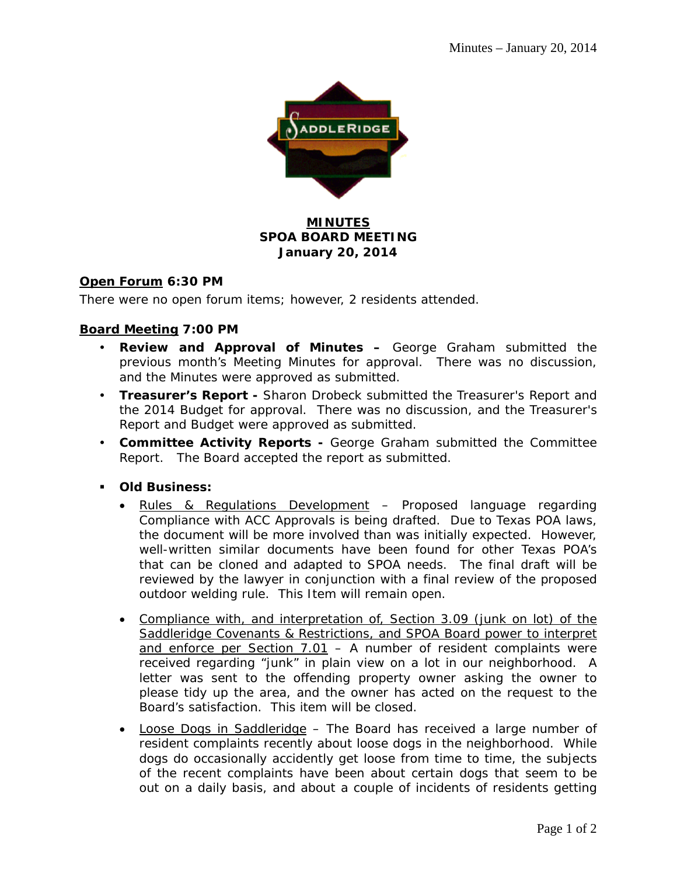

## **MINUTES SPOA BOARD MEETING January 20, 2014**

### **Open Forum 6:30 PM**

There were no open forum items; however, 2 residents attended.

### **Board Meeting 7:00 PM**

- **Review and Approval of Minutes –** George Graham submitted the previous month's Meeting Minutes for approval. There was no discussion, and the Minutes were approved as submitted.
- **Treasurer's Report** Sharon Drobeck submitted the Treasurer's Report and the 2014 Budget for approval. There was no discussion, and the Treasurer's Report and Budget were approved as submitted.
- **Committee Activity Reports** George Graham submitted the Committee Report. The Board accepted the report as submitted.
- **Old Business:** 
	- Rules & Regulations Development Proposed language regarding Compliance with ACC Approvals is being drafted. Due to Texas POA laws, the document will be more involved than was initially expected. However, well-written similar documents have been found for other Texas POA's that can be cloned and adapted to SPOA needs. The final draft will be reviewed by the lawyer in conjunction with a final review of the proposed outdoor welding rule. This Item will remain open.
	- Compliance with, and interpretation of, Section 3.09 (junk on lot) of the Saddleridge Covenants & Restrictions, and SPOA Board power to interpret and enforce per Section  $7.01 - A$  number of resident complaints were received regarding "junk" in plain view on a lot in our neighborhood. A letter was sent to the offending property owner asking the owner to please tidy up the area, and the owner has acted on the request to the Board's satisfaction. This item will be closed.
	- Loose Dogs in Saddleridge The Board has received a large number of resident complaints recently about loose dogs in the neighborhood. While dogs do occasionally accidently get loose from time to time, the subjects of the recent complaints have been about certain dogs that seem to be out on a daily basis, and about a couple of incidents of residents getting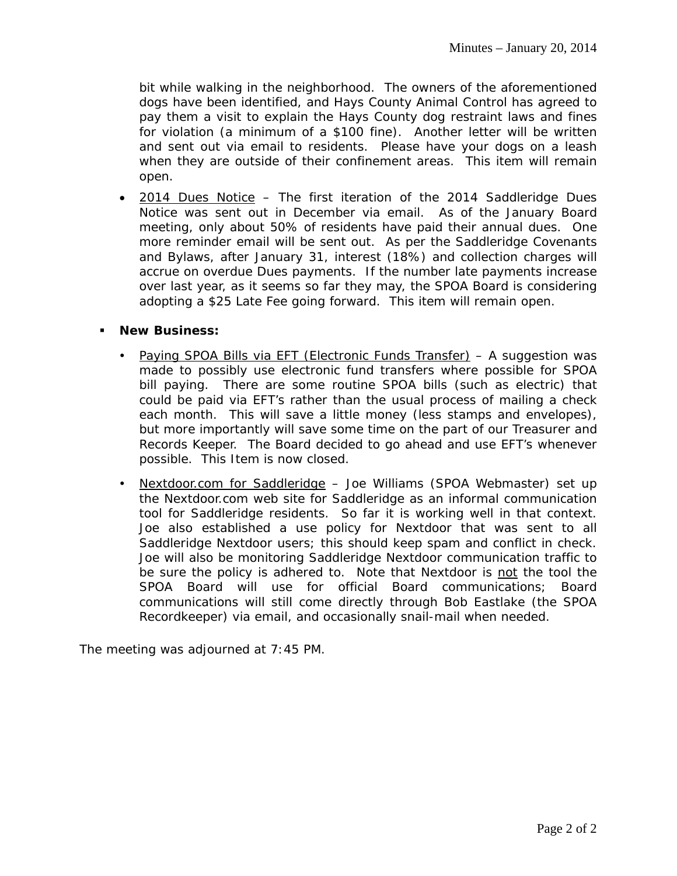bit while walking in the neighborhood. The owners of the aforementioned dogs have been identified, and Hays County Animal Control has agreed to pay them a visit to explain the Hays County dog restraint laws and fines for violation (a minimum of a \$100 fine). Another letter will be written and sent out via email to residents. Please have your dogs on a leash when they are outside of their confinement areas. This item will remain open.

• 2014 Dues Notice – The first iteration of the 2014 Saddleridge Dues Notice was sent out in December via email. As of the January Board meeting, only about 50% of residents have paid their annual dues. One more reminder email will be sent out. As per the Saddleridge Covenants and Bylaws, after January 31, interest (18%) and collection charges will accrue on overdue Dues payments. If the number late payments increase over last year, as it seems so far they may, the SPOA Board is considering adopting a \$25 Late Fee going forward. This item will remain open.

#### **New Business:**

- Paying SPOA Bills via EFT (Electronic Funds Transfer) A suggestion was made to possibly use electronic fund transfers where possible for SPOA bill paying. There are some routine SPOA bills (such as electric) that could be paid via EFT's rather than the usual process of mailing a check each month. This will save a little money (less stamps and envelopes), but more importantly will save some time on the part of our Treasurer and Records Keeper. The Board decided to go ahead and use EFT's whenever possible. This Item is now closed.
- Nextdoor.com for Saddleridge Joe Williams (SPOA Webmaster) set up the Nextdoor.com web site for Saddleridge as an informal communication tool for Saddleridge residents. So far it is working well in that context. Joe also established a use policy for Nextdoor that was sent to all Saddleridge Nextdoor users; this should keep spam and conflict in check. Joe will also be monitoring Saddleridge Nextdoor communication traffic to be sure the policy is adhered to. Note that Nextdoor is not the tool the SPOA Board will use for official Board communications; Board communications will still come directly through Bob Eastlake (the SPOA Recordkeeper) via email, and occasionally snail-mail when needed.

The meeting was adjourned at 7:45 PM.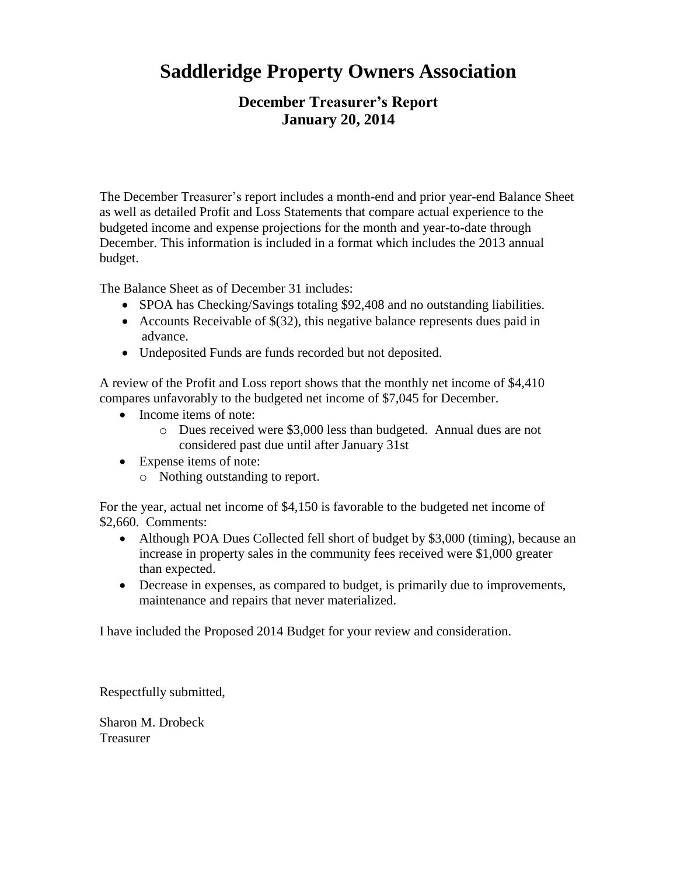# **Saddleridge Property Owners Association**

# **December Treasurer's Report January 20, 2014**

The December Treasurer's report includes a month-end and prior year-end Balance Sheet as well as detailed Profit and Loss Statements that compare actual experience to the budgeted income and expense projections for the month and year-to-date through December. This information is included in a format which includes the 2013 annual budget.

The Balance Sheet as of December 31 includes:

- SPOA has Checking/Savings totaling \$92,408 and no outstanding liabilities.
- Accounts Receivable of  $\S(32)$ , this negative balance represents dues paid in advance.
- Undeposited Funds are funds recorded but not deposited.

A review of the Profit and Loss report shows that the monthly net income of \$4,410 compares unfavorably to the budgeted net income of \$7,045 for December.

- Income items of note:
	- o Dues received were \$3,000 less than budgeted. Annual dues are not considered past due until after January 31st
- Expense items of note:
	- o Nothing outstanding to report.

For the year, actual net income of \$4,150 is favorable to the budgeted net income of \$2,660. Comments:

- Although POA Dues Collected fell short of budget by \$3,000 (timing), because an increase in property sales in the community fees received were \$1,000 greater than expected.
- Decrease in expenses, as compared to budget, is primarily due to improvements, maintenance and repairs that never materialized.

I have included the Proposed 2014 Budget for your review and consideration.

Respectfully submitted,

Sharon M. Drobeck Treasurer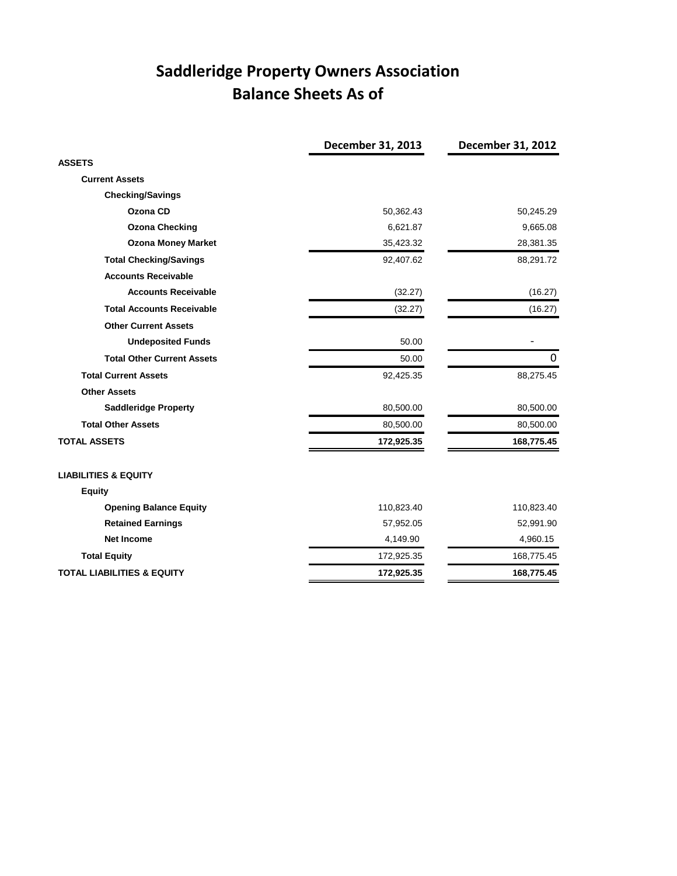# **Saddleridge Property Owners Association Balance Sheets As of**

|                                       | December 31, 2013 | <b>December 31, 2012</b> |
|---------------------------------------|-------------------|--------------------------|
| <b>ASSETS</b>                         |                   |                          |
| <b>Current Assets</b>                 |                   |                          |
| <b>Checking/Savings</b>               |                   |                          |
| Ozona CD                              | 50,362.43         | 50,245.29                |
| <b>Ozona Checking</b>                 | 6,621.87          | 9,665.08                 |
| <b>Ozona Money Market</b>             | 35,423.32         | 28,381.35                |
| <b>Total Checking/Savings</b>         | 92,407.62         | 88,291.72                |
| <b>Accounts Receivable</b>            |                   |                          |
| <b>Accounts Receivable</b>            | (32.27)           | (16.27)                  |
| <b>Total Accounts Receivable</b>      | (32.27)           | (16.27)                  |
| <b>Other Current Assets</b>           |                   |                          |
| <b>Undeposited Funds</b>              | 50.00             |                          |
| <b>Total Other Current Assets</b>     | 50.00             | 0                        |
| <b>Total Current Assets</b>           | 92,425.35         | 88,275.45                |
| <b>Other Assets</b>                   |                   |                          |
| <b>Saddleridge Property</b>           | 80,500.00         | 80,500.00                |
| <b>Total Other Assets</b>             | 80,500.00         | 80,500.00                |
| <b>TOTAL ASSETS</b>                   | 172,925.35        | 168,775.45               |
| <b>LIABILITIES &amp; EQUITY</b>       |                   |                          |
| <b>Equity</b>                         |                   |                          |
| <b>Opening Balance Equity</b>         | 110,823.40        | 110,823.40               |
| <b>Retained Earnings</b>              | 57,952.05         | 52,991.90                |
| <b>Net Income</b>                     | 4,149.90          | 4,960.15                 |
| <b>Total Equity</b>                   | 172,925.35        | 168,775.45               |
| <b>TOTAL LIABILITIES &amp; EQUITY</b> | 172,925.35        | 168,775.45               |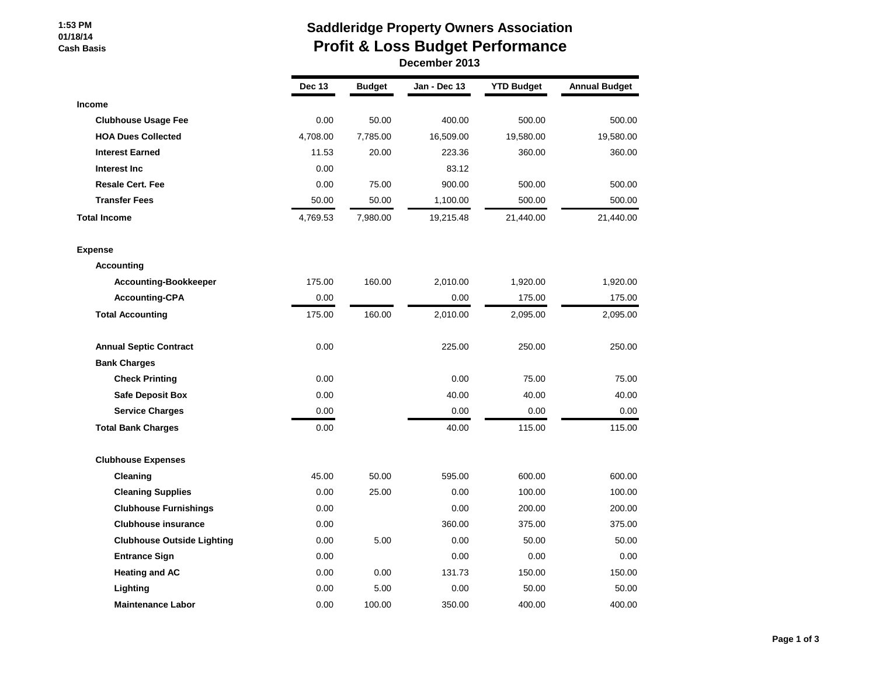#### **1:53 PM 01/18/14 Cash Basis**

# **Saddleridge Property Owners Association Profit & Loss Budget Performance**

| December 2013 |  |
|---------------|--|
|---------------|--|

|                                   | <b>Dec 13</b> | <b>Budget</b> | Jan - Dec 13 | <b>YTD Budget</b> | <b>Annual Budget</b> |
|-----------------------------------|---------------|---------------|--------------|-------------------|----------------------|
| Income                            |               |               |              |                   |                      |
| <b>Clubhouse Usage Fee</b>        | 0.00          | 50.00         | 400.00       | 500.00            | 500.00               |
| <b>HOA Dues Collected</b>         | 4,708.00      | 7,785.00      | 16,509.00    | 19,580.00         | 19,580.00            |
| <b>Interest Earned</b>            | 11.53         | 20.00         | 223.36       | 360.00            | 360.00               |
| Interest Inc                      | 0.00          |               | 83.12        |                   |                      |
| <b>Resale Cert. Fee</b>           | 0.00          | 75.00         | 900.00       | 500.00            | 500.00               |
| <b>Transfer Fees</b>              | 50.00         | 50.00         | 1,100.00     | 500.00            | 500.00               |
| <b>Total Income</b>               | 4,769.53      | 7,980.00      | 19,215.48    | 21,440.00         | 21,440.00            |
| <b>Expense</b>                    |               |               |              |                   |                      |
| Accounting                        |               |               |              |                   |                      |
| <b>Accounting-Bookkeeper</b>      | 175.00        | 160.00        | 2,010.00     | 1,920.00          | 1,920.00             |
| <b>Accounting-CPA</b>             | 0.00          |               | 0.00         | 175.00            | 175.00               |
| <b>Total Accounting</b>           | 175.00        | 160.00        | 2,010.00     | 2,095.00          | 2,095.00             |
| <b>Annual Septic Contract</b>     | 0.00          |               | 225.00       | 250.00            | 250.00               |
| <b>Bank Charges</b>               |               |               |              |                   |                      |
| <b>Check Printing</b>             | 0.00          |               | 0.00         | 75.00             | 75.00                |
| <b>Safe Deposit Box</b>           | 0.00          |               | 40.00        | 40.00             | 40.00                |
| <b>Service Charges</b>            | 0.00          |               | 0.00         | 0.00              | 0.00                 |
| <b>Total Bank Charges</b>         | 0.00          |               | 40.00        | 115.00            | 115.00               |
| <b>Clubhouse Expenses</b>         |               |               |              |                   |                      |
| Cleaning                          | 45.00         | 50.00         | 595.00       | 600.00            | 600.00               |
| <b>Cleaning Supplies</b>          | 0.00          | 25.00         | 0.00         | 100.00            | 100.00               |
| <b>Clubhouse Furnishings</b>      | 0.00          |               | 0.00         | 200.00            | 200.00               |
| <b>Clubhouse insurance</b>        | 0.00          |               | 360.00       | 375.00            | 375.00               |
| <b>Clubhouse Outside Lighting</b> | 0.00          | 5.00          | 0.00         | 50.00             | 50.00                |
| <b>Entrance Sign</b>              | 0.00          |               | 0.00         | 0.00              | 0.00                 |
| <b>Heating and AC</b>             | 0.00          | 0.00          | 131.73       | 150.00            | 150.00               |
| Lighting                          | 0.00          | 5.00          | 0.00         | 50.00             | 50.00                |
| <b>Maintenance Labor</b>          | 0.00          | 100.00        | 350.00       | 400.00            | 400.00               |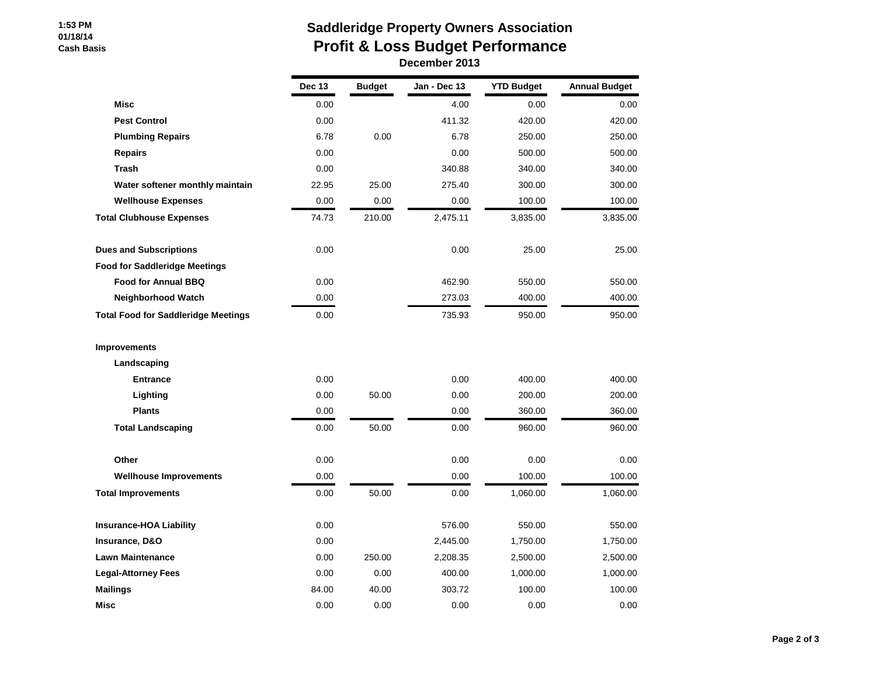#### **1:53 PM 01/18/14 Cash Basis**

## **Saddleridge Property Owners Association Profit & Loss Budget Performance December 2013**

|                                            | <b>Dec 13</b> | <b>Budget</b> | Jan - Dec 13 | <b>YTD Budget</b> | <b>Annual Budget</b> |
|--------------------------------------------|---------------|---------------|--------------|-------------------|----------------------|
| <b>Misc</b>                                | 0.00          |               | 4.00         | 0.00              | 0.00                 |
| <b>Pest Control</b>                        | 0.00          |               | 411.32       | 420.00            | 420.00               |
| <b>Plumbing Repairs</b>                    | 6.78          | 0.00          | 6.78         | 250.00            | 250.00               |
| <b>Repairs</b>                             | 0.00          |               | 0.00         | 500.00            | 500.00               |
| <b>Trash</b>                               | 0.00          |               | 340.88       | 340.00            | 340.00               |
| Water softener monthly maintain            | 22.95         | 25.00         | 275.40       | 300.00            | 300.00               |
| <b>Wellhouse Expenses</b>                  | 0.00          | 0.00          | 0.00         | 100.00            | 100.00               |
| <b>Total Clubhouse Expenses</b>            | 74.73         | 210.00        | 2,475.11     | 3,835.00          | 3,835.00             |
| <b>Dues and Subscriptions</b>              | 0.00          |               | 0.00         | 25.00             | 25.00                |
| <b>Food for Saddleridge Meetings</b>       |               |               |              |                   |                      |
| <b>Food for Annual BBQ</b>                 | 0.00          |               | 462.90       | 550.00            | 550.00               |
| <b>Neighborhood Watch</b>                  | 0.00          |               | 273.03       | 400.00            | 400.00               |
| <b>Total Food for Saddleridge Meetings</b> | 0.00          |               | 735.93       | 950.00            | 950.00               |
| <b>Improvements</b>                        |               |               |              |                   |                      |
| Landscaping                                |               |               |              |                   |                      |
| <b>Entrance</b>                            | 0.00          |               | 0.00         | 400.00            | 400.00               |
| Lighting                                   | 0.00          | 50.00         | 0.00         | 200.00            | 200.00               |
| <b>Plants</b>                              | 0.00          |               | 0.00         | 360.00            | 360.00               |
| <b>Total Landscaping</b>                   | 0.00          | 50.00         | 0.00         | 960.00            | 960.00               |
| Other                                      | 0.00          |               | 0.00         | 0.00              | 0.00                 |
| <b>Wellhouse Improvements</b>              | 0.00          |               | 0.00         | 100.00            | 100.00               |
| <b>Total Improvements</b>                  | 0.00          | 50.00         | 0.00         | 1,060.00          | 1,060.00             |
| <b>Insurance-HOA Liability</b>             | 0.00          |               | 576.00       | 550.00            | 550.00               |
| Insurance, D&O                             | 0.00          |               | 2,445.00     | 1,750.00          | 1,750.00             |
| <b>Lawn Maintenance</b>                    | 0.00          | 250.00        | 2,208.35     | 2,500.00          | 2,500.00             |
| <b>Legal-Attorney Fees</b>                 | 0.00          | 0.00          | 400.00       | 1,000.00          | 1,000.00             |
| <b>Mailings</b>                            | 84.00         | 40.00         | 303.72       | 100.00            | 100.00               |
| Misc                                       | 0.00          | 0.00          | 0.00         | 0.00              | 0.00                 |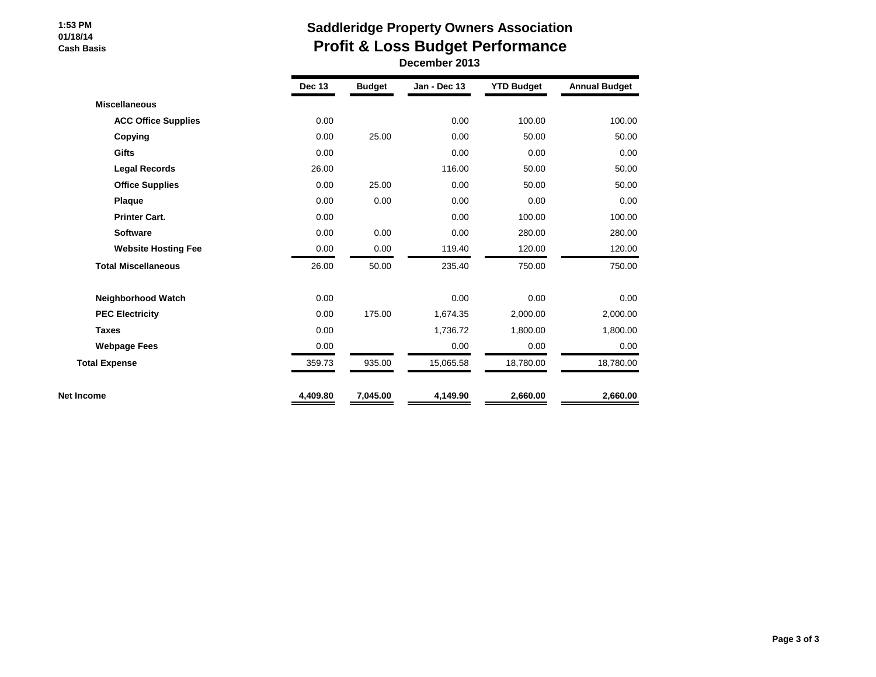#### **1:53 PM 01/18/14 Cash Basis**

# **Saddleridge Property Owners Association Profit & Loss Budget Performance**

 **December 2013**

|                            | <b>Dec 13</b> | <b>Budget</b> | Jan - Dec 13 | <b>YTD Budget</b> | <b>Annual Budget</b> |
|----------------------------|---------------|---------------|--------------|-------------------|----------------------|
| <b>Miscellaneous</b>       |               |               |              |                   |                      |
| <b>ACC Office Supplies</b> | 0.00          |               | 0.00         | 100.00            | 100.00               |
| Copying                    | 0.00          | 25.00         | 0.00         | 50.00             | 50.00                |
| Gifts                      | 0.00          |               | 0.00         | 0.00              | 0.00                 |
| <b>Legal Records</b>       | 26.00         |               | 116.00       | 50.00             | 50.00                |
| <b>Office Supplies</b>     | 0.00          | 25.00         | 0.00         | 50.00             | 50.00                |
| Plaque                     | 0.00          | 0.00          | 0.00         | 0.00              | 0.00                 |
| <b>Printer Cart.</b>       | 0.00          |               | 0.00         | 100.00            | 100.00               |
| <b>Software</b>            | 0.00          | 0.00          | 0.00         | 280.00            | 280.00               |
| <b>Website Hosting Fee</b> | 0.00          | 0.00          | 119.40       | 120.00            | 120.00               |
| <b>Total Miscellaneous</b> | 26.00         | 50.00         | 235.40       | 750.00            | 750.00               |
| Neighborhood Watch         | 0.00          |               | 0.00         | 0.00              | 0.00                 |
| <b>PEC Electricity</b>     | 0.00          | 175.00        | 1,674.35     | 2,000.00          | 2,000.00             |
| <b>Taxes</b>               | 0.00          |               | 1,736.72     | 1,800.00          | 1,800.00             |
| <b>Webpage Fees</b>        | 0.00          |               | 0.00         | 0.00              | 0.00                 |
| <b>Total Expense</b>       | 359.73        | 935.00        | 15,065.58    | 18,780.00         | 18,780.00            |
| Net Income                 | 4,409.80      | 7,045.00      | 4,149.90     | 2,660.00          | 2,660.00             |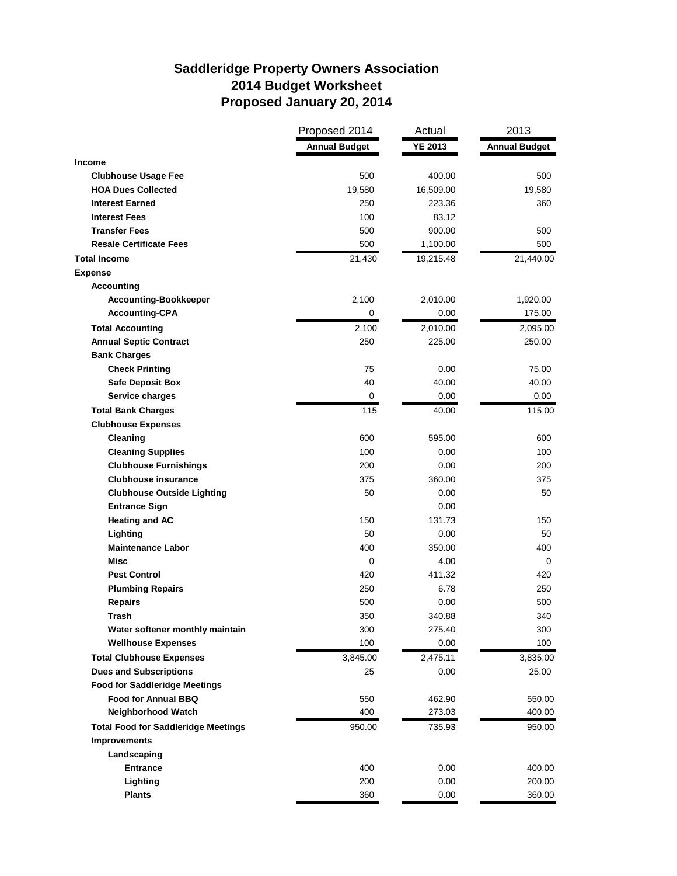# **Saddleridge Property Owners Association 2014 Budget Worksheet Proposed January 20, 2014**

| <b>Annual Budget</b><br><b>YE 2013</b><br><b>Annual Budget</b><br>Income<br><b>Clubhouse Usage Fee</b><br>500<br>400.00<br><b>HOA Dues Collected</b><br>19,580<br>16,509.00<br><b>Interest Earned</b><br>250<br>223.36<br><b>Interest Fees</b><br>100<br>83.12<br><b>Transfer Fees</b><br>500<br>900.00<br><b>Resale Certificate Fees</b><br>500<br>1,100.00<br><b>Total Income</b><br>21,430<br>19,215.48<br><b>Expense</b> | 500<br>19,580<br>360<br>500<br>500<br>21,440.00<br>1,920.00<br>175.00<br>2,095.00<br>250.00 |
|------------------------------------------------------------------------------------------------------------------------------------------------------------------------------------------------------------------------------------------------------------------------------------------------------------------------------------------------------------------------------------------------------------------------------|---------------------------------------------------------------------------------------------|
|                                                                                                                                                                                                                                                                                                                                                                                                                              |                                                                                             |
|                                                                                                                                                                                                                                                                                                                                                                                                                              |                                                                                             |
|                                                                                                                                                                                                                                                                                                                                                                                                                              |                                                                                             |
|                                                                                                                                                                                                                                                                                                                                                                                                                              |                                                                                             |
|                                                                                                                                                                                                                                                                                                                                                                                                                              |                                                                                             |
|                                                                                                                                                                                                                                                                                                                                                                                                                              |                                                                                             |
|                                                                                                                                                                                                                                                                                                                                                                                                                              |                                                                                             |
|                                                                                                                                                                                                                                                                                                                                                                                                                              |                                                                                             |
|                                                                                                                                                                                                                                                                                                                                                                                                                              |                                                                                             |
|                                                                                                                                                                                                                                                                                                                                                                                                                              |                                                                                             |
| <b>Accounting</b>                                                                                                                                                                                                                                                                                                                                                                                                            |                                                                                             |
| <b>Accounting-Bookkeeper</b><br>2,100<br>2,010.00                                                                                                                                                                                                                                                                                                                                                                            |                                                                                             |
| <b>Accounting-CPA</b><br>0<br>0.00                                                                                                                                                                                                                                                                                                                                                                                           |                                                                                             |
| <b>Total Accounting</b><br>2,010.00<br>2,100                                                                                                                                                                                                                                                                                                                                                                                 |                                                                                             |
| <b>Annual Septic Contract</b><br>250<br>225.00                                                                                                                                                                                                                                                                                                                                                                               |                                                                                             |
| <b>Bank Charges</b>                                                                                                                                                                                                                                                                                                                                                                                                          |                                                                                             |
| <b>Check Printing</b><br>75<br>0.00                                                                                                                                                                                                                                                                                                                                                                                          | 75.00                                                                                       |
| <b>Safe Deposit Box</b><br>40<br>40.00                                                                                                                                                                                                                                                                                                                                                                                       | 40.00                                                                                       |
| Service charges<br>0<br>0.00                                                                                                                                                                                                                                                                                                                                                                                                 | $0.00\,$                                                                                    |
| <b>Total Bank Charges</b><br>115<br>40.00                                                                                                                                                                                                                                                                                                                                                                                    | 115.00                                                                                      |
| <b>Clubhouse Expenses</b>                                                                                                                                                                                                                                                                                                                                                                                                    |                                                                                             |
| Cleaning<br>600<br>595.00                                                                                                                                                                                                                                                                                                                                                                                                    | 600                                                                                         |
| <b>Cleaning Supplies</b><br>100<br>0.00                                                                                                                                                                                                                                                                                                                                                                                      | 100                                                                                         |
| <b>Clubhouse Furnishings</b><br>200<br>0.00                                                                                                                                                                                                                                                                                                                                                                                  | 200                                                                                         |
| <b>Clubhouse insurance</b><br>375<br>360.00                                                                                                                                                                                                                                                                                                                                                                                  | 375                                                                                         |
| <b>Clubhouse Outside Lighting</b><br>50<br>0.00                                                                                                                                                                                                                                                                                                                                                                              | 50                                                                                          |
| <b>Entrance Sign</b><br>0.00                                                                                                                                                                                                                                                                                                                                                                                                 |                                                                                             |
| <b>Heating and AC</b><br>150<br>131.73                                                                                                                                                                                                                                                                                                                                                                                       | 150                                                                                         |
| Lighting<br>50<br>0.00                                                                                                                                                                                                                                                                                                                                                                                                       | 50                                                                                          |
| <b>Maintenance Labor</b><br>400<br>350.00                                                                                                                                                                                                                                                                                                                                                                                    | 400                                                                                         |
| Misc<br>0<br>4.00                                                                                                                                                                                                                                                                                                                                                                                                            | 0                                                                                           |
| <b>Pest Control</b><br>420<br>411.32                                                                                                                                                                                                                                                                                                                                                                                         | 420                                                                                         |
| <b>Plumbing Repairs</b><br>250<br>6.78                                                                                                                                                                                                                                                                                                                                                                                       | 250                                                                                         |
| <b>Repairs</b><br>500<br>0.00                                                                                                                                                                                                                                                                                                                                                                                                | 500                                                                                         |
| Trash<br>350<br>340.88                                                                                                                                                                                                                                                                                                                                                                                                       | 340                                                                                         |
| Water softener monthly maintain<br>300<br>275.40                                                                                                                                                                                                                                                                                                                                                                             | 300                                                                                         |
| 100<br><b>Wellhouse Expenses</b><br>0.00                                                                                                                                                                                                                                                                                                                                                                                     | 100                                                                                         |
| <b>Total Clubhouse Expenses</b><br>3,845.00<br>2,475.11                                                                                                                                                                                                                                                                                                                                                                      | 3,835.00                                                                                    |
| <b>Dues and Subscriptions</b><br>25<br>0.00                                                                                                                                                                                                                                                                                                                                                                                  | 25.00                                                                                       |
| <b>Food for Saddleridge Meetings</b>                                                                                                                                                                                                                                                                                                                                                                                         |                                                                                             |
| <b>Food for Annual BBQ</b><br>550<br>462.90                                                                                                                                                                                                                                                                                                                                                                                  | 550.00                                                                                      |
| <b>Neighborhood Watch</b><br>400<br>273.03                                                                                                                                                                                                                                                                                                                                                                                   | 400.00                                                                                      |
| <b>Total Food for Saddleridge Meetings</b><br>950.00<br>735.93                                                                                                                                                                                                                                                                                                                                                               | 950.00                                                                                      |
| <b>Improvements</b>                                                                                                                                                                                                                                                                                                                                                                                                          |                                                                                             |
| Landscaping                                                                                                                                                                                                                                                                                                                                                                                                                  |                                                                                             |
| <b>Entrance</b><br>400<br>0.00                                                                                                                                                                                                                                                                                                                                                                                               | 400.00                                                                                      |
| Lighting<br>200<br>0.00                                                                                                                                                                                                                                                                                                                                                                                                      | 200.00                                                                                      |
| <b>Plants</b><br>360<br>0.00<br>360.00                                                                                                                                                                                                                                                                                                                                                                                       |                                                                                             |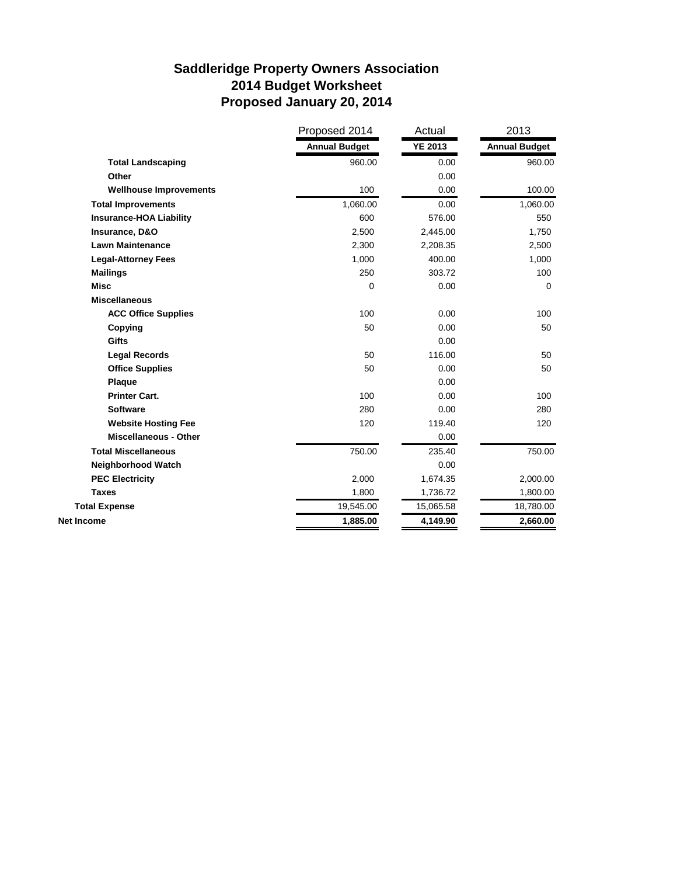# **Saddleridge Property Owners Association 2014 Budget Worksheet Proposed January 20, 2014**

|                                | Proposed 2014        | Actual         | 2013                 |
|--------------------------------|----------------------|----------------|----------------------|
|                                | <b>Annual Budget</b> | <b>YE 2013</b> | <b>Annual Budget</b> |
| <b>Total Landscaping</b>       | 960.00               | 0.00           | 960.00               |
| Other                          |                      | 0.00           |                      |
| <b>Wellhouse Improvements</b>  | 100                  | 0.00           | 100.00               |
| <b>Total Improvements</b>      | 1,060.00             | 0.00           | 1,060.00             |
| <b>Insurance-HOA Liability</b> | 600                  | 576.00         | 550                  |
| Insurance, D&O                 | 2,500                | 2,445.00       | 1,750                |
| <b>Lawn Maintenance</b>        | 2,300                | 2,208.35       | 2,500                |
| <b>Legal-Attorney Fees</b>     | 1,000                | 400.00         | 1,000                |
| <b>Mailings</b>                | 250                  | 303.72         | 100                  |
| <b>Misc</b>                    | 0                    | 0.00           | $\Omega$             |
| <b>Miscellaneous</b>           |                      |                |                      |
| <b>ACC Office Supplies</b>     | 100                  | 0.00           | 100                  |
| Copying                        | 50                   | 0.00           | 50                   |
| <b>Gifts</b>                   |                      | 0.00           |                      |
| <b>Legal Records</b>           | 50                   | 116.00         | 50                   |
| <b>Office Supplies</b>         | 50                   | 0.00           | 50                   |
| Plaque                         |                      | 0.00           |                      |
| <b>Printer Cart.</b>           | 100                  | 0.00           | 100                  |
| <b>Software</b>                | 280                  | 0.00           | 280                  |
| <b>Website Hosting Fee</b>     | 120                  | 119.40         | 120                  |
| <b>Miscellaneous - Other</b>   |                      | 0.00           |                      |
| <b>Total Miscellaneous</b>     | 750.00               | 235.40         | 750.00               |
| Neighborhood Watch             |                      | 0.00           |                      |
| <b>PEC Electricity</b>         | 2,000                | 1,674.35       | 2,000.00             |
| <b>Taxes</b>                   | 1,800                | 1,736.72       | 1,800.00             |
| <b>Total Expense</b>           | 19,545.00            | 15,065.58      | 18,780.00            |
| <b>Net Income</b>              | 1,885.00             | 4,149.90       | 2,660.00             |
|                                |                      |                |                      |